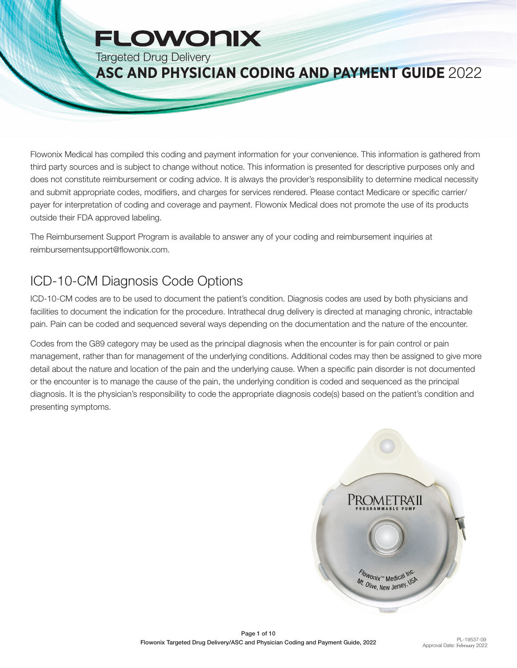# **FLOWONIX**

Targeted Drug Delivery

### **ASC AND PHYSICIAN CODING AND PAYMENT GUIDE** 2022

Flowonix Medical has compiled this coding and payment information for your convenience. This information is gathered from third party sources and is subject to change without notice. This information is presented for descriptive purposes only and does not constitute reimbursement or coding advice. It is always the provider's responsibility to determine medical necessity and submit appropriate codes, modifiers, and charges for services rendered. Please contact Medicare or specific carrier/ payer for interpretation of coding and coverage and payment. Flowonix Medical does not promote the use of its products outside their FDA approved labeling.

The Reimbursement Support Program is available to answer any of your coding and reimbursement inquiries at reimbursementsupport@flowonix.com.

## ICD-10-CM Diagnosis Code Options

ICD-10-CM codes are to be used to document the patient's condition. Diagnosis codes are used by both physicians and facilities to document the indication for the procedure. Intrathecal drug delivery is directed at managing chronic, intractable pain. Pain can be coded and sequenced several ways depending on the documentation and the nature of the encounter.

Codes from the G89 category may be used as the principal diagnosis when the encounter is for pain control or pain management, rather than for management of the underlying conditions. Additional codes may then be assigned to give more detail about the nature and location of the pain and the underlying cause. When a specific pain disorder is not documented or the encounter is to manage the cause of the pain, the underlying condition is coded and sequenced as the principal diagnosis. It is the physician's responsibility to code the appropriate diagnosis code(s) based on the patient's condition and presenting symptoms.

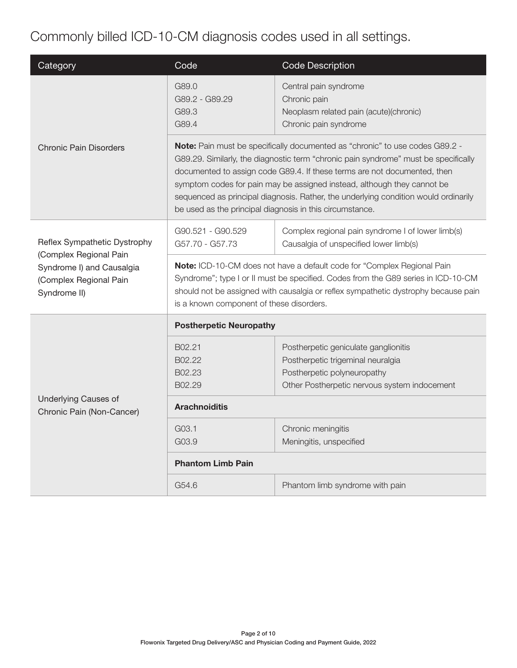## Commonly billed ICD-10-CM diagnosis codes used in all settings.

| Category                                                                                                                      | Code                                                                                                                                                                                                                                                                                                                                                                                                                                                                          | <b>Code Description</b>                                                                                                                                  |  |  |
|-------------------------------------------------------------------------------------------------------------------------------|-------------------------------------------------------------------------------------------------------------------------------------------------------------------------------------------------------------------------------------------------------------------------------------------------------------------------------------------------------------------------------------------------------------------------------------------------------------------------------|----------------------------------------------------------------------------------------------------------------------------------------------------------|--|--|
|                                                                                                                               | G89.0<br>G89.2 - G89.29<br>G89.3<br>G89.4                                                                                                                                                                                                                                                                                                                                                                                                                                     | Central pain syndrome<br>Chronic pain<br>Neoplasm related pain (acute)(chronic)<br>Chronic pain syndrome                                                 |  |  |
| <b>Chronic Pain Disorders</b>                                                                                                 | Note: Pain must be specifically documented as "chronic" to use codes G89.2 -<br>G89.29. Similarly, the diagnostic term "chronic pain syndrome" must be specifically<br>documented to assign code G89.4. If these terms are not documented, then<br>symptom codes for pain may be assigned instead, although they cannot be<br>sequenced as principal diagnosis. Rather, the underlying condition would ordinarily<br>be used as the principal diagnosis in this circumstance. |                                                                                                                                                          |  |  |
| Reflex Sympathetic Dystrophy<br>(Complex Regional Pain<br>Syndrome I) and Causalgia<br>(Complex Regional Pain<br>Syndrome II) | G90.521 - G90.529<br>G57.70 - G57.73                                                                                                                                                                                                                                                                                                                                                                                                                                          | Complex regional pain syndrome I of lower limb(s)<br>Causalgia of unspecified lower limb(s)                                                              |  |  |
|                                                                                                                               | Note: ICD-10-CM does not have a default code for "Complex Regional Pain<br>Syndrome"; type I or II must be specified. Codes from the G89 series in ICD-10-CM<br>should not be assigned with causalgia or reflex sympathetic dystrophy because pain<br>is a known component of these disorders.                                                                                                                                                                                |                                                                                                                                                          |  |  |
|                                                                                                                               | <b>Postherpetic Neuropathy</b>                                                                                                                                                                                                                                                                                                                                                                                                                                                |                                                                                                                                                          |  |  |
| <b>Underlying Causes of</b><br>Chronic Pain (Non-Cancer)                                                                      | B02.21<br>B02.22<br>B02.23<br>B02.29                                                                                                                                                                                                                                                                                                                                                                                                                                          | Postherpetic geniculate ganglionitis<br>Postherpetic trigeminal neuralgia<br>Postherpetic polyneuropathy<br>Other Postherpetic nervous system indocement |  |  |
|                                                                                                                               | <b>Arachnoiditis</b>                                                                                                                                                                                                                                                                                                                                                                                                                                                          |                                                                                                                                                          |  |  |
|                                                                                                                               | G03.1<br>Chronic meningitis<br>G03.9<br>Meningitis, unspecified                                                                                                                                                                                                                                                                                                                                                                                                               |                                                                                                                                                          |  |  |
|                                                                                                                               | <b>Phantom Limb Pain</b>                                                                                                                                                                                                                                                                                                                                                                                                                                                      |                                                                                                                                                          |  |  |
|                                                                                                                               | G54.6                                                                                                                                                                                                                                                                                                                                                                                                                                                                         | Phantom limb syndrome with pain                                                                                                                          |  |  |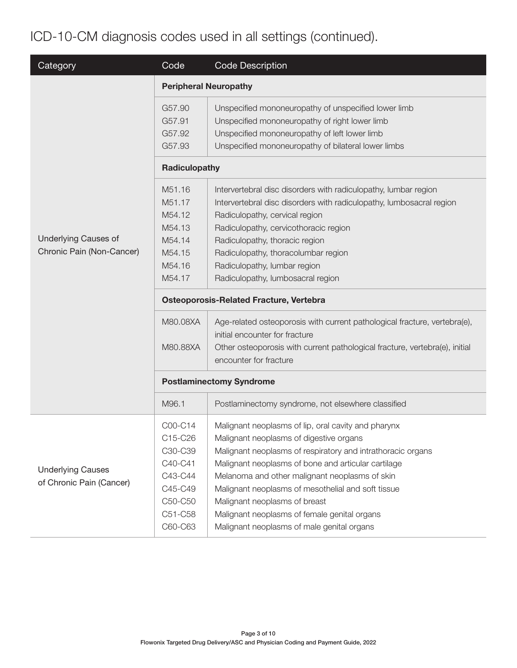## ICD-10-CM diagnosis codes used in all settings (continued).

| Category                    | Code                                           | <b>Code Description</b>                                                                                     |  |  |  |
|-----------------------------|------------------------------------------------|-------------------------------------------------------------------------------------------------------------|--|--|--|
|                             | <b>Peripheral Neuropathy</b>                   |                                                                                                             |  |  |  |
|                             | G57.90                                         | Unspecified mononeuropathy of unspecified lower limb                                                        |  |  |  |
|                             | G57.91                                         | Unspecified mononeuropathy of right lower limb                                                              |  |  |  |
|                             | G57.92                                         | Unspecified mononeuropathy of left lower limb                                                               |  |  |  |
|                             | G57.93                                         | Unspecified mononeuropathy of bilateral lower limbs                                                         |  |  |  |
|                             | Radiculopathy                                  |                                                                                                             |  |  |  |
|                             | M51.16                                         | Intervertebral disc disorders with radiculopathy, lumbar region                                             |  |  |  |
|                             | M51.17                                         | Intervertebral disc disorders with radiculopathy, lumbosacral region                                        |  |  |  |
|                             | M54.12                                         | Radiculopathy, cervical region                                                                              |  |  |  |
|                             | M54.13                                         | Radiculopathy, cervicothoracic region                                                                       |  |  |  |
| <b>Underlying Causes of</b> | M54.14                                         | Radiculopathy, thoracic region                                                                              |  |  |  |
| Chronic Pain (Non-Cancer)   | M54.15                                         | Radiculopathy, thoracolumbar region                                                                         |  |  |  |
|                             | M54.16                                         | Radiculopathy, lumbar region                                                                                |  |  |  |
|                             | M54.17                                         | Radiculopathy, lumbosacral region                                                                           |  |  |  |
|                             | <b>Osteoporosis-Related Fracture, Vertebra</b> |                                                                                                             |  |  |  |
|                             | M80.08XA                                       | Age-related osteoporosis with current pathological fracture, vertebra(e),<br>initial encounter for fracture |  |  |  |
|                             | M80.88XA                                       | Other osteoporosis with current pathological fracture, vertebra(e), initial                                 |  |  |  |
|                             |                                                | encounter for fracture                                                                                      |  |  |  |
|                             | <b>Postlaminectomy Syndrome</b>                |                                                                                                             |  |  |  |
|                             | M96.1                                          | Postlaminectomy syndrome, not elsewhere classified                                                          |  |  |  |
|                             | C00-C14                                        | Malignant neoplasms of lip, oral cavity and pharynx                                                         |  |  |  |
|                             | C15-C26                                        | Malignant neoplasms of digestive organs                                                                     |  |  |  |
|                             | C30-C39                                        | Malignant neoplasms of respiratory and intrathoracic organs                                                 |  |  |  |
|                             | C40-C41                                        | Malignant neoplasms of bone and articular cartilage                                                         |  |  |  |
| <b>Underlying Causes</b>    | C43-C44                                        | Melanoma and other malignant neoplasms of skin                                                              |  |  |  |
| of Chronic Pain (Cancer)    | C45-C49                                        | Malignant neoplasms of mesothelial and soft tissue                                                          |  |  |  |
|                             | C50-C50                                        | Malignant neoplasms of breast                                                                               |  |  |  |
|                             | C51-C58                                        | Malignant neoplasms of female genital organs                                                                |  |  |  |
|                             | C60-C63                                        | Malignant neoplasms of male genital organs                                                                  |  |  |  |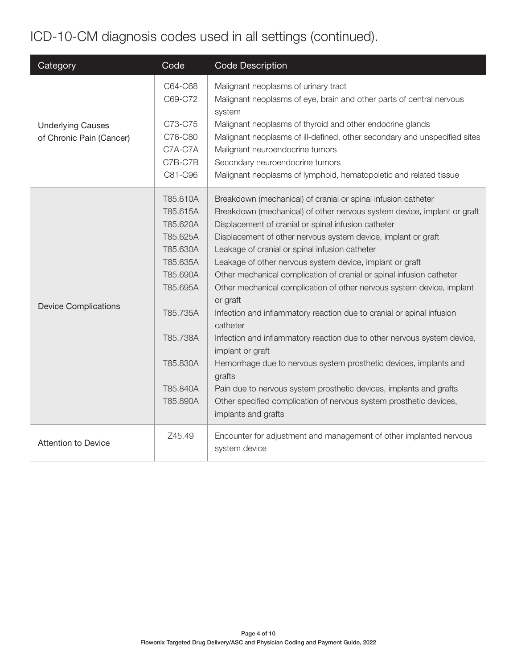## ICD-10-CM diagnosis codes used in all settings (continued).

| Category                    | Code               | <b>Code Description</b>                                                                                                |
|-----------------------------|--------------------|------------------------------------------------------------------------------------------------------------------------|
|                             | C64-C68<br>C69-C72 | Malignant neoplasms of urinary tract<br>Malignant neoplasms of eye, brain and other parts of central nervous<br>system |
| <b>Underlying Causes</b>    | C73-C75            | Malignant neoplasms of thyroid and other endocrine glands                                                              |
| of Chronic Pain (Cancer)    | C76-C80<br>C7A-C7A | Malignant neoplasms of ill-defined, other secondary and unspecified sites<br>Malignant neuroendocrine tumors           |
|                             | C7B-C7B            | Secondary neuroendocrine tumors                                                                                        |
|                             | C81-C96            | Malignant neoplasms of lymphoid, hematopoietic and related tissue                                                      |
|                             | T85.610A           | Breakdown (mechanical) of cranial or spinal infusion catheter                                                          |
|                             | T85.615A           | Breakdown (mechanical) of other nervous system device, implant or graft                                                |
|                             | T85.620A           | Displacement of cranial or spinal infusion catheter                                                                    |
|                             | T85.625A           | Displacement of other nervous system device, implant or graft                                                          |
|                             | T85.630A           | Leakage of cranial or spinal infusion catheter                                                                         |
|                             | T85.635A           | Leakage of other nervous system device, implant or graft                                                               |
|                             | T85.690A           | Other mechanical complication of cranial or spinal infusion catheter                                                   |
|                             | T85.695A           | Other mechanical complication of other nervous system device, implant<br>or graft                                      |
| <b>Device Complications</b> | T85.735A           | Infection and inflammatory reaction due to cranial or spinal infusion<br>catheter                                      |
|                             | T85.738A           | Infection and inflammatory reaction due to other nervous system device,<br>implant or graft                            |
|                             | T85.830A           | Hemorrhage due to nervous system prosthetic devices, implants and<br>grafts                                            |
|                             | T85.840A           | Pain due to nervous system prosthetic devices, implants and grafts                                                     |
|                             | T85.890A           | Other specified complication of nervous system prosthetic devices,<br>implants and grafts                              |
| <b>Attention to Device</b>  | Z45.49             | Encounter for adjustment and management of other implanted nervous<br>system device                                    |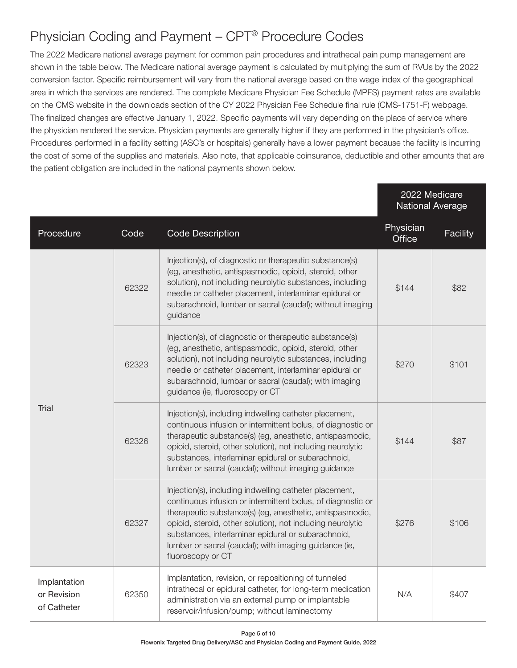#### Physician Coding and Payment – CPT® Procedure Codes

The 2022 Medicare national average payment for common pain procedures and intrathecal pain pump management are shown in the table below. The Medicare national average payment is calculated by multiplying the sum of RVUs by the 2022 conversion factor. Specific reimbursement will vary from the national average based on the wage index of the geographical area in which the services are rendered. The complete Medicare Physician Fee Schedule (MPFS) payment rates are available on the CMS website in the downloads section of the CY 2022 Physician Fee Schedule final rule (CMS-1751-F) webpage. The finalized changes are effective January 1, 2022. Specific payments will vary depending on the place of service where the physician rendered the service. Physician payments are generally higher if they are performed in the physician's office. Procedures performed in a facility setting (ASC's or hospitals) generally have a lower payment because the facility is incurring the cost of some of the supplies and materials. Also note, that applicable coinsurance, deductible and other amounts that are the patient obligation are included in the national payments shown below.

|                                            |       |                                                                                                                                                                                                                                                                                                                                                                                     | 2022 Medicare<br><b>National Average</b> |          |
|--------------------------------------------|-------|-------------------------------------------------------------------------------------------------------------------------------------------------------------------------------------------------------------------------------------------------------------------------------------------------------------------------------------------------------------------------------------|------------------------------------------|----------|
| Procedure                                  | Code  | <b>Code Description</b>                                                                                                                                                                                                                                                                                                                                                             | Physician<br>Office                      | Facility |
| Trial                                      | 62322 | Injection(s), of diagnostic or therapeutic substance(s)<br>(eg, anesthetic, antispasmodic, opioid, steroid, other<br>solution), not including neurolytic substances, including<br>needle or catheter placement, interlaminar epidural or<br>subarachnoid, lumbar or sacral (caudal); without imaging<br>guidance                                                                    | \$144                                    | \$82     |
|                                            | 62323 | Injection(s), of diagnostic or therapeutic substance(s)<br>(eg, anesthetic, antispasmodic, opioid, steroid, other<br>solution), not including neurolytic substances, including<br>needle or catheter placement, interlaminar epidural or<br>subarachnoid, lumbar or sacral (caudal); with imaging<br>guidance (ie, fluoroscopy or CT                                                | \$270                                    | \$101    |
|                                            | 62326 | Injection(s), including indwelling catheter placement,<br>continuous infusion or intermittent bolus, of diagnostic or<br>therapeutic substance(s) (eg, anesthetic, antispasmodic,<br>opioid, steroid, other solution), not including neurolytic<br>substances, interlaminar epidural or subarachnoid,<br>lumbar or sacral (caudal); without imaging guidance                        | \$144                                    | \$87     |
|                                            | 62327 | Injection(s), including indwelling catheter placement,<br>continuous infusion or intermittent bolus, of diagnostic or<br>therapeutic substance(s) (eg, anesthetic, antispasmodic,<br>opioid, steroid, other solution), not including neurolytic<br>substances, interlaminar epidural or subarachnoid,<br>lumbar or sacral (caudal); with imaging guidance (ie,<br>fluoroscopy or CT | \$276                                    | \$106    |
| Implantation<br>or Revision<br>of Catheter | 62350 | Implantation, revision, or repositioning of tunneled<br>intrathecal or epidural catheter, for long-term medication<br>administration via an external pump or implantable<br>reservoir/infusion/pump; without laminectomy                                                                                                                                                            | N/A                                      | \$407    |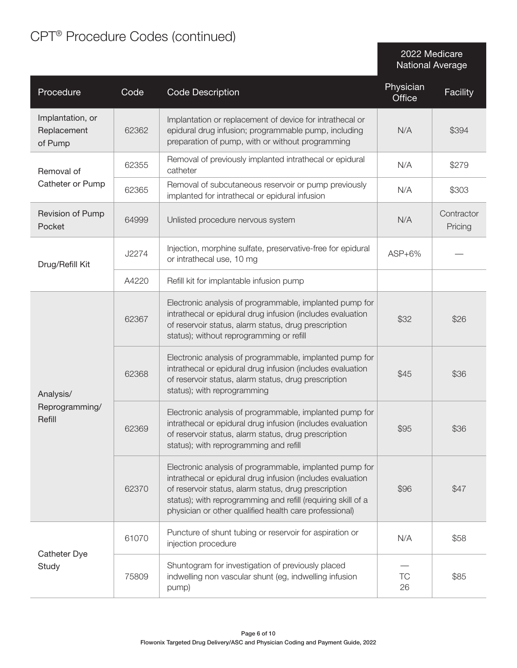### CPT® Procedure Codes (continued)

2022 Medicare National Average

| Procedure                                  | Code  | <b>Code Description</b>                                                                                                                                                                                                                                                                                 | Physician<br>Office | <b>Facility</b>       |
|--------------------------------------------|-------|---------------------------------------------------------------------------------------------------------------------------------------------------------------------------------------------------------------------------------------------------------------------------------------------------------|---------------------|-----------------------|
| Implantation, or<br>Replacement<br>of Pump | 62362 | Implantation or replacement of device for intrathecal or<br>epidural drug infusion; programmable pump, including<br>preparation of pump, with or without programming                                                                                                                                    | N/A                 | \$394                 |
| Removal of                                 | 62355 | Removal of previously implanted intrathecal or epidural<br>catheter                                                                                                                                                                                                                                     | N/A                 | \$279                 |
| Catheter or Pump                           | 62365 | Removal of subcutaneous reservoir or pump previously<br>implanted for intrathecal or epidural infusion                                                                                                                                                                                                  | N/A                 | \$303                 |
| Revision of Pump<br>Pocket                 | 64999 | Unlisted procedure nervous system                                                                                                                                                                                                                                                                       | N/A                 | Contractor<br>Pricing |
| Drug/Refill Kit                            | J2274 | Injection, morphine sulfate, preservative-free for epidural<br>or intrathecal use, 10 mg                                                                                                                                                                                                                | $ASP+6\%$           |                       |
|                                            | A4220 | Refill kit for implantable infusion pump                                                                                                                                                                                                                                                                |                     |                       |
| Analysis/<br>Reprogramming/<br>Refill      | 62367 | Electronic analysis of programmable, implanted pump for<br>intrathecal or epidural drug infusion (includes evaluation<br>of reservoir status, alarm status, drug prescription<br>status); without reprogramming or refill                                                                               | \$32                | \$26                  |
|                                            | 62368 | Electronic analysis of programmable, implanted pump for<br>intrathecal or epidural drug infusion (includes evaluation<br>of reservoir status, alarm status, drug prescription<br>status); with reprogramming                                                                                            | \$45                | \$36                  |
|                                            | 62369 | Electronic analysis of programmable, implanted pump for<br>intrathecal or epidural drug infusion (includes evaluation<br>of reservoir status, alarm status, drug prescription<br>status); with reprogramming and refill                                                                                 | \$95                | \$36                  |
|                                            | 62370 | Electronic analysis of programmable, implanted pump for<br>intrathecal or epidural drug infusion (includes evaluation<br>of reservoir status, alarm status, drug prescription<br>status); with reprogramming and refill (requiring skill of a<br>physician or other qualified health care professional) | \$96                | \$47                  |
| Catheter Dye<br>Study                      | 61070 | Puncture of shunt tubing or reservoir for aspiration or<br>injection procedure                                                                                                                                                                                                                          | N/A                 | \$58                  |
|                                            | 75809 | Shuntogram for investigation of previously placed<br>indwelling non vascular shunt (eg, indwelling infusion<br>pump)                                                                                                                                                                                    | TC<br>26            | \$85                  |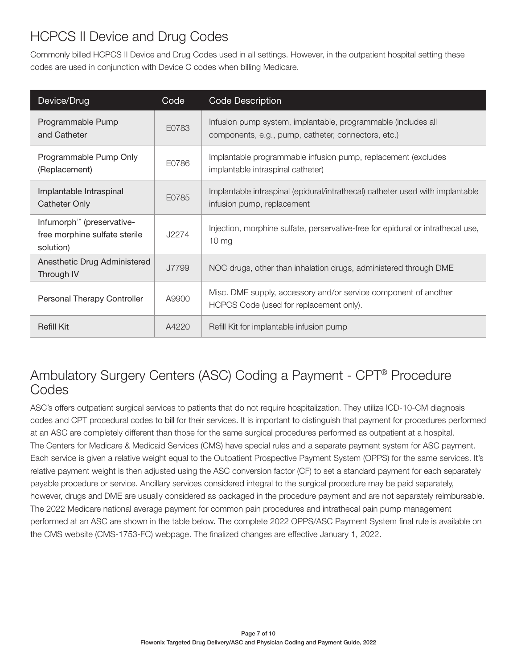#### HCPCS II Device and Drug Codes

Commonly billed HCPCS II Device and Drug Codes used in all settings. However, in the outpatient hospital setting these codes are used in conjunction with Device C codes when billing Medicare.

| Device/Drug                                                                         | Code  | <b>Code Description</b>                                                                                              |
|-------------------------------------------------------------------------------------|-------|----------------------------------------------------------------------------------------------------------------------|
| Programmable Pump<br>and Catheter                                                   | E0783 | Infusion pump system, implantable, programmable (includes all<br>components, e.g., pump, catheter, connectors, etc.) |
| Programmable Pump Only<br>(Replacement)                                             | E0786 | Implantable programmable infusion pump, replacement (excludes<br>implantable intraspinal catheter)                   |
| Implantable Intraspinal<br>Catheter Only                                            | E0785 | Implantable intraspinal (epidural/intrathecal) catheter used with implantable<br>infusion pump, replacement          |
| Infumorph <sup>™</sup> (preservative-<br>free morphine sulfate sterile<br>solution) | J2274 | Injection, morphine sulfate, perservative-free for epidural or intrathecal use,<br>10 <sub>mg</sub>                  |
| Anesthetic Drug Administered<br>Through IV                                          | J7799 | NOC drugs, other than inhalation drugs, administered through DME                                                     |
| Personal Therapy Controller                                                         | A9900 | Misc. DME supply, accessory and/or service component of another<br>HCPCS Code (used for replacement only).           |
| <b>Refill Kit</b>                                                                   | A4220 | Refill Kit for implantable infusion pump                                                                             |

#### Ambulatory Surgery Centers (ASC) Coding a Payment - CPT® Procedure Codes

ASC's offers outpatient surgical services to patients that do not require hospitalization. They utilize ICD-10-CM diagnosis codes and CPT procedural codes to bill for their services. It is important to distinguish that payment for procedures performed at an ASC are completely different than those for the same surgical procedures performed as outpatient at a hospital. The Centers for Medicare & Medicaid Services (CMS) have special rules and a separate payment system for ASC payment. Each service is given a relative weight equal to the Outpatient Prospective Payment System (OPPS) for the same services. It's relative payment weight is then adjusted using the ASC conversion factor (CF) to set a standard payment for each separately payable procedure or service. Ancillary services considered integral to the surgical procedure may be paid separately, however, drugs and DME are usually considered as packaged in the procedure payment and are not separately reimbursable. The 2022 Medicare national average payment for common pain procedures and intrathecal pain pump management performed at an ASC are shown in the table below. The complete 2022 OPPS/ASC Payment System final rule is available on the CMS website (CMS-1753-FC) webpage. The finalized changes are effective January 1, 2022.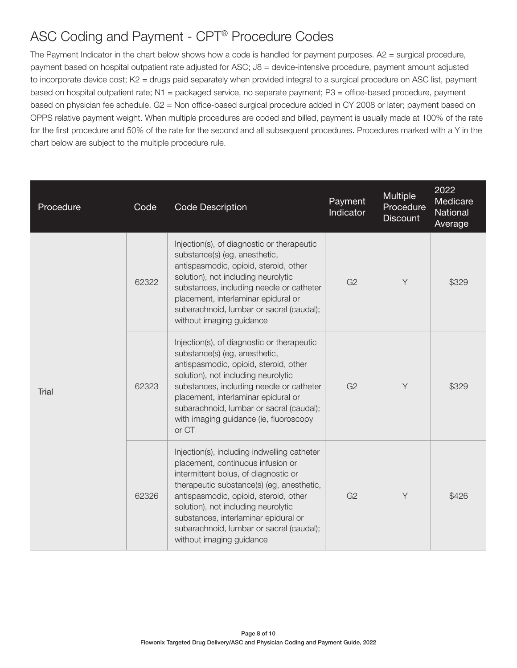#### ASC Coding and Payment - CPT® Procedure Codes

The Payment Indicator in the chart below shows how a code is handled for payment purposes. A2 = surgical procedure, payment based on hospital outpatient rate adjusted for ASC; J8 = device-intensive procedure, payment amount adjusted to incorporate device cost; K2 = drugs paid separately when provided integral to a surgical procedure on ASC list, payment based on hospital outpatient rate; N1 = packaged service, no separate payment; P3 = office-based procedure, payment based on physician fee schedule. G2 = Non office-based surgical procedure added in CY 2008 or later; payment based on OPPS relative payment weight. When multiple procedures are coded and billed, payment is usually made at 100% of the rate for the first procedure and 50% of the rate for the second and all subsequent procedures. Procedures marked with a Y in the chart below are subject to the multiple procedure rule.

| Procedure | Code  | <b>Code Description</b>                                                                                                                                                                                                                                                                                                                                               | Payment<br>Indicator | <b>Multiple</b><br>Procedure<br><b>Discount</b> | 2022<br>Medicare<br>National<br>Average |
|-----------|-------|-----------------------------------------------------------------------------------------------------------------------------------------------------------------------------------------------------------------------------------------------------------------------------------------------------------------------------------------------------------------------|----------------------|-------------------------------------------------|-----------------------------------------|
| Trial     | 62322 | Injection(s), of diagnostic or therapeutic<br>substance(s) (eg, anesthetic,<br>antispasmodic, opioid, steroid, other<br>solution), not including neurolytic<br>substances, including needle or catheter<br>placement, interlaminar epidural or<br>subarachnoid, lumbar or sacral (caudal);<br>without imaging guidance                                                | G <sub>2</sub>       | Y                                               | \$329                                   |
|           | 62323 | Injection(s), of diagnostic or therapeutic<br>substance(s) (eg, anesthetic,<br>antispasmodic, opioid, steroid, other<br>solution), not including neurolytic<br>substances, including needle or catheter<br>placement, interlaminar epidural or<br>subarachnoid, lumbar or sacral (caudal);<br>with imaging guidance (ie, fluoroscopy<br>or CT                         | G <sub>2</sub>       | Y                                               | \$329                                   |
|           | 62326 | Injection(s), including indwelling catheter<br>placement, continuous infusion or<br>intermittent bolus, of diagnostic or<br>therapeutic substance(s) (eg, anesthetic,<br>antispasmodic, opioid, steroid, other<br>solution), not including neurolytic<br>substances, interlaminar epidural or<br>subarachnoid, lumbar or sacral (caudal);<br>without imaging guidance | G <sub>2</sub>       | Y                                               | \$426                                   |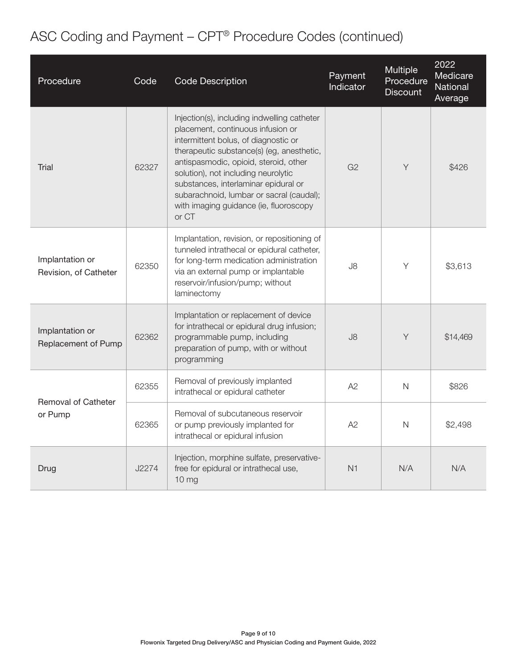# ASC Coding and Payment – CPT® Procedure Codes (continued)

| Procedure                                | Code  | <b>Code Description</b>                                                                                                                                                                                                                                                                                                                                                                      | Payment<br>Indicator | Multiple<br>Procedure<br><b>Discount</b> | 2022<br>Medicare<br>National<br>Average |
|------------------------------------------|-------|----------------------------------------------------------------------------------------------------------------------------------------------------------------------------------------------------------------------------------------------------------------------------------------------------------------------------------------------------------------------------------------------|----------------------|------------------------------------------|-----------------------------------------|
| Trial                                    | 62327 | Injection(s), including indwelling catheter<br>placement, continuous infusion or<br>intermittent bolus, of diagnostic or<br>therapeutic substance(s) (eg, anesthetic,<br>antispasmodic, opioid, steroid, other<br>solution), not including neurolytic<br>substances, interlaminar epidural or<br>subarachnoid, lumbar or sacral (caudal);<br>with imaging guidance (ie, fluoroscopy<br>or CT | G <sub>2</sub>       | Y                                        | \$426                                   |
| Implantation or<br>Revision, of Catheter | 62350 | Implantation, revision, or repositioning of<br>tunneled intrathecal or epidural catheter,<br>for long-term medication administration<br>via an external pump or implantable<br>reservoir/infusion/pump; without<br>laminectomy                                                                                                                                                               | J8                   | Y                                        | \$3,613                                 |
| Implantation or<br>Replacement of Pump   | 62362 | Implantation or replacement of device<br>for intrathecal or epidural drug infusion;<br>programmable pump, including<br>preparation of pump, with or without<br>programming                                                                                                                                                                                                                   | J8                   | Y                                        | \$14,469                                |
| <b>Removal of Catheter</b><br>or Pump    | 62355 | Removal of previously implanted<br>intrathecal or epidural catheter                                                                                                                                                                                                                                                                                                                          | A2                   | $\mathsf{N}$                             | \$826                                   |
|                                          | 62365 | Removal of subcutaneous reservoir<br>or pump previously implanted for<br>intrathecal or epidural infusion                                                                                                                                                                                                                                                                                    | A2                   | $\mathsf{N}$                             | \$2,498                                 |
| Drug                                     | J2274 | Injection, morphine sulfate, preservative-<br>free for epidural or intrathecal use,<br>10 <sub>mg</sub>                                                                                                                                                                                                                                                                                      | N1                   | N/A                                      | N/A                                     |